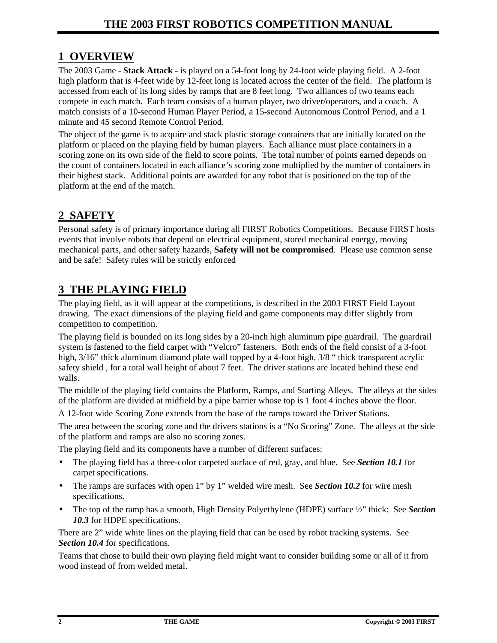# **1 OVERVIEW**

The 2003 Game - **Stack Attack -** is played on a 54-foot long by 24-foot wide playing field. A 2-foot high platform that is 4-feet wide by 12-feet long is located across the center of the field. The platform is accessed from each of its long sides by ramps that are 8 feet long. Two alliances of two teams each compete in each match. Each team consists of a human player, two driver/operators, and a coach. A match consists of a 10-second Human Player Period, a 15-second Autonomous Control Period, and a 1 minute and 45 second Remote Control Period.

The object of the game is to acquire and stack plastic storage containers that are initially located on the platform or placed on the playing field by human players. Each alliance must place containers in a scoring zone on its own side of the field to score points. The total number of points earned depends on the count of containers located in each alliance's scoring zone multiplied by the number of containers in their highest stack. Additional points are awarded for any robot that is positioned on the top of the platform at the end of the match.

# **2 SAFETY**

Personal safety is of primary importance during all FIRST Robotics Competitions. Because FIRST hosts events that involve robots that depend on electrical equipment, stored mechanical energy, moving mechanical parts, and other safety hazards, **Safety will not be compromised**. Please use common sense and be safe! Safety rules will be strictly enforced

# **3 THE PLAYING FIELD**

The playing field, as it will appear at the competitions, is described in the 2003 FIRST Field Layout drawing.The exact dimensions of the playing field and game components may differ slightly from competition to competition.

The playing field is bounded on its long sides by a 20-inch high aluminum pipe guardrail. The guardrail system is fastened to the field carpet with "Velcro" fasteners. Both ends of the field consist of a 3-foot high,  $3/16$ " thick aluminum diamond plate wall topped by a 4-foot high,  $3/8$  " thick transparent acrylic safety shield , for a total wall height of about 7 feet. The driver stations are located behind these end walls.

The middle of the playing field contains the Platform, Ramps, and Starting Alleys. The alleys at the sides of the platform are divided at midfield by a pipe barrier whose top is 1 foot 4 inches above the floor.

A 12-foot wide Scoring Zone extends from the base of the ramps toward the Driver Stations.

The area between the scoring zone and the drivers stations is a "No Scoring" Zone. The alleys at the side of the platform and ramps are also no scoring zones.

The playing field and its components have a number of different surfaces:

- The playing field has a three-color carpeted surface of red, gray, and blue. See *Section 10.1* for carpet specifications.
- The ramps are surfaces with open 1" by 1" welded wire mesh. See *Section 10.2* for wire mesh specifications.
- The top of the ramp has a smooth, High Density Polyethylene (HDPE) surface ½" thick: See *Section 10.3* for HDPE specifications.

There are 2" wide white lines on the playing field that can be used by robot tracking systems. See *Section 10.4* for specifications.

Teams that chose to build their own playing field might want to consider building some or all of it from wood instead of from welded metal.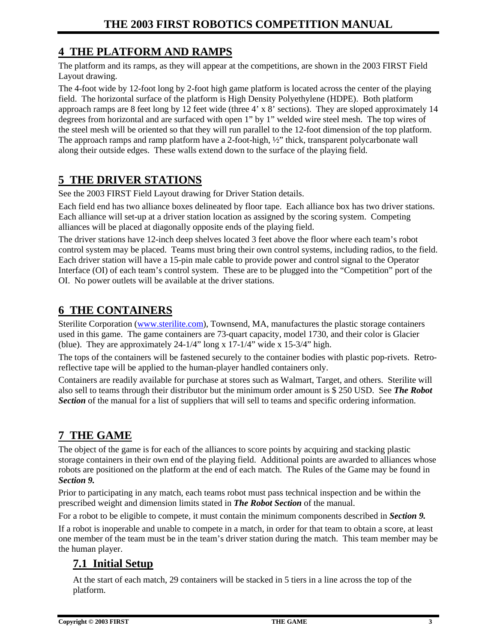### **4 THE PLATFORM AND RAMPS**

The platform and its ramps, as they will appear at the competitions, are shown in the 2003 FIRST Field Layout drawing.

The 4-foot wide by 12-foot long by 2-foot high game platform is located across the center of the playing field. The horizontal surface of the platform is High Density Polyethylene (HDPE). Both platform approach ramps are 8 feet long by 12 feet wide (three 4' x 8' sections). They are sloped approximately 14 degrees from horizontal and are surfaced with open 1" by 1" welded wire steel mesh. The top wires of the steel mesh will be oriented so that they will run parallel to the 12-foot dimension of the top platform. The approach ramps and ramp platform have a 2-foot-high, ½" thick, transparent polycarbonate wall along their outside edges. These walls extend down to the surface of the playing field.

### **5 THE DRIVER STATIONS**

See the 2003 FIRST Field Layout drawing for Driver Station details.

Each field end has two alliance boxes delineated by floor tape. Each alliance box has two driver stations. Each alliance will set-up at a driver station location as assigned by the scoring system. Competing alliances will be placed at diagonally opposite ends of the playing field.

The driver stations have 12-inch deep shelves located 3 feet above the floor where each team's robot control system may be placed. Teams must bring their own control systems, including radios, to the field. Each driver station will have a 15-pin male cable to provide power and control signal to the Operator Interface (OI) of each team's control system. These are to be plugged into the "Competition" port of the OI. No power outlets will be available at the driver stations.

### **6 THE CONTAINERS**

Sterilite Corporation (www.sterilite.com), Townsend, MA, manufactures the plastic storage containers used in this game. The game containers are 73-quart capacity, model 1730, and their color is Glacier (blue). They are approximately  $24-1/4$ " long x  $17-1/4$ " wide x  $15-3/4$ " high.

The tops of the containers will be fastened securely to the container bodies with plastic pop-rivets. Retroreflective tape will be applied to the human-player handled containers only.

Containers are readily available for purchase at stores such as Walmart, Target, and others. Sterilite will also sell to teams through their distributor but the minimum order amount is \$ 250 USD. See *The Robot* **Section** of the manual for a list of suppliers that will sell to teams and specific ordering information.

# **7 THE GAME**

The object of the game is for each of the alliances to score points by acquiring and stacking plastic storage containers in their own end of the playing field. Additional points are awarded to alliances whose robots are positioned on the platform at the end of each match. The Rules of the Game may be found in *Section 9.*

Prior to participating in any match, each teams robot must pass technical inspection and be within the prescribed weight and dimension limits stated in *The Robot Section* of the manual.

For a robot to be eligible to compete, it must contain the minimum components described in *Section 9.*

If a robot is inoperable and unable to compete in a match, in order for that team to obtain a score, at least one member of the team must be in the team's driver station during the match. This team member may be the human player.

### **7.1 Initial Setup**

At the start of each match, 29 containers will be stacked in 5 tiers in a line across the top of the platform.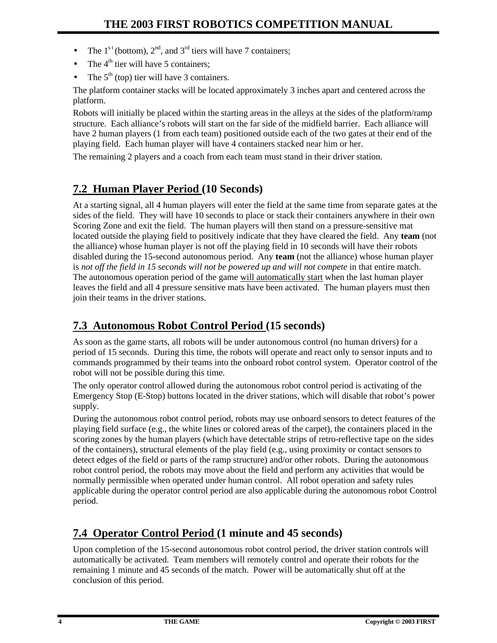- The  $1^{st}$  (bottom),  $2^{nd}$ , and  $3^{rd}$  tiers will have 7 containers;
- The  $4<sup>th</sup>$  tier will have 5 containers:
- The  $5<sup>th</sup>$  (top) tier will have 3 containers.

The platform container stacks will be located approximately 3 inches apart and centered across the platform.

Robots will initially be placed within the starting areas in the alleys at the sides of the platform/ramp structure. Each alliance's robots will start on the far side of the midfield barrier. Each alliance will have 2 human players (1 from each team) positioned outside each of the two gates at their end of the playing field. Each human player will have 4 containers stacked near him or her.

The remaining 2 players and a coach from each team must stand in their driver station.

# **7.2 Human Player Period (10 Seconds)**

At a starting signal, all 4 human players will enter the field at the same time from separate gates at the sides of the field. They will have 10 seconds to place or stack their containers anywhere in their own Scoring Zone and exit the field. The human players will then stand on a pressure-sensitive mat located outside the playing field to positively indicate that they have cleared the field. Any **team** (not the alliance) whose human player is not off the playing field in 10 seconds will have their robots disabled during the 15-second autonomous period. Any **team** (not the alliance) whose human player is not off the field in 15 seconds will not be powered up and will not compete in that entire match. The autonomous operation period of the game will automatically start when the last human player leaves the field and all 4 pressure sensitive mats have been activated. The human players must then join their teams in the driver stations.

# **7.3 Autonomous Robot Control Period (15 seconds)**

As soon as the game starts, all robots will be under autonomous control (no human drivers) for a period of 15 seconds. During this time, the robots will operate and react only to sensor inputs and to commands programmed by their teams into the onboard robot control system. Operator control of the robot will not be possible during this time.

The only operator control allowed during the autonomous robot control period is activating of the Emergency Stop (E-Stop) buttons located in the driver stations, which will disable that robot's power supply.

During the autonomous robot control period, robots may use onboard sensors to detect features of the playing field surface (e.g., the white lines or colored areas of the carpet), the containers placed in the scoring zones by the human players (which have detectable strips of retro-reflective tape on the sides of the containers), structural elements of the play field (e.g., using proximity or contact sensors to detect edges of the field or parts of the ramp structure) and/or other robots. During the autonomous robot control period, the robots may move about the field and perform any activities that would be normally permissible when operated under human control. All robot operation and safety rules applicable during the operator control period are also applicable during the autonomous robot Control period.

# **7.4 Operator Control Period (1 minute and 45 seconds)**

Upon completion of the 15-second autonomous robot control period, the driver station controls will automatically be activated. Team members will remotely control and operate their robots for the remaining 1 minute and 45 seconds of the match. Power will be automatically shut off at the conclusion of this period.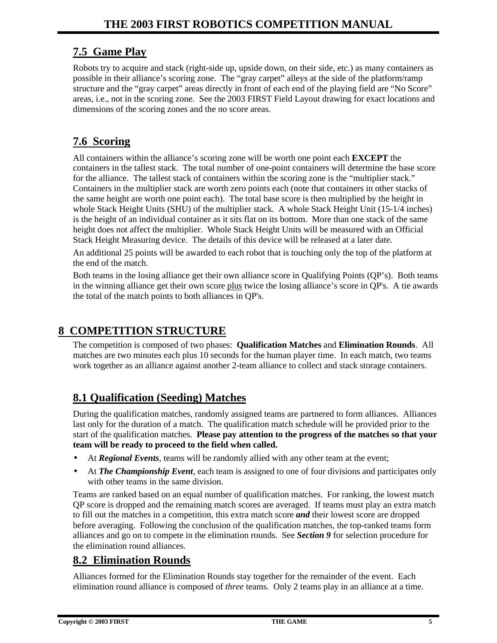### **7.5 Game Play**

Robots try to acquire and stack (right-side up, upside down, on their side, etc.) as many containers as possible in their alliance's scoring zone. The "gray carpet" alleys at the side of the platform/ramp structure and the "gray carpet" areas directly in front of each end of the playing field are "No Score" areas, i.e., not in the scoring zone. See the 2003 FIRST Field Layout drawing for exact locations and dimensions of the scoring zones and the no score areas.

## **7.6 Scoring**

All containers within the alliance's scoring zone will be worth one point each **EXCEPT** the containers in the tallest stack. The total number of one-point containers will determine the base score for the alliance. The tallest stack of containers within the scoring zone is the "multiplier stack." Containers in the multiplier stack are worth zero points each (note that containers in other stacks of the same height are worth one point each). The total base score is then multiplied by the height in whole Stack Height Units (SHU) of the multiplier stack. A whole Stack Height Unit (15-1/4 inches) is the height of an individual container as it sits flat on its bottom. More than one stack of the same height does not affect the multiplier. Whole Stack Height Units will be measured with an Official Stack Height Measuring device. The details of this device will be released at a later date.

An additional 25 points will be awarded to each robot that is touching only the top of the platform at the end of the match.

Both teams in the losing alliance get their own alliance score in Qualifying Points (QP's). Both teams in the winning alliance get their own score plus twice the losing alliance's score in QP's. A tie awards the total of the match points to both alliances in QP's.

# **8 COMPETITION STRUCTURE**

The competition is composed of two phases: **Qualification Matches** and **Elimination Rounds**. All matches are two minutes each plus 10 seconds for the human player time. In each match, two teams work together as an alliance against another 2-team alliance to collect and stack storage containers.

# **8.1 Qualification (Seeding) Matches**

During the qualification matches, randomly assigned teams are partnered to form alliances. Alliances last only for the duration of a match. The qualification match schedule will be provided prior to the start of the qualification matches. **Please pay attention to the progress of the matches so that your team will be ready to proceed to the field when called.**

- At *Regional Events*, teams will be randomly allied with any other team at the event;
- At *The Championship Event*, each team is assigned to one of four divisions and participates only with other teams in the same division.

Teams are ranked based on an equal number of qualification matches. For ranking, the lowest match QP score is dropped and the remaining match scores are averaged. If teams must play an extra match to fill out the matches in a competition, this extra match score *and* their lowest score are dropped before averaging. Following the conclusion of the qualification matches, the top-ranked teams form alliances and go on to compete in the elimination rounds. See *Section 9* for selection procedure for the elimination round alliances.

### **8.2 Elimination Rounds**

Alliances formed for the Elimination Rounds stay together for the remainder of the event. Each elimination round alliance is composed of *three* teams. Only 2 teams play in an alliance at a time.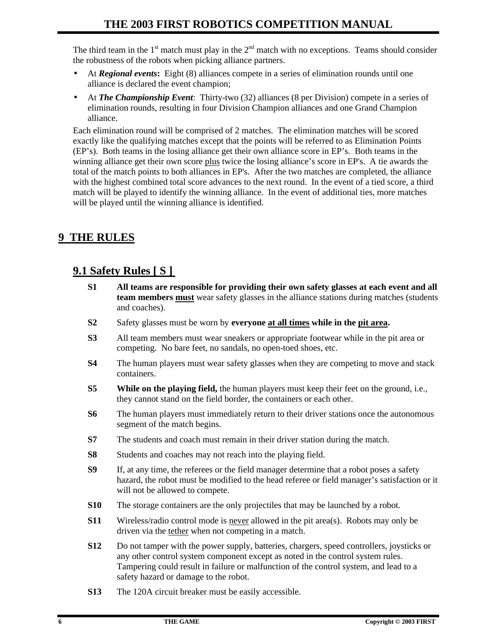The third team in the  $1<sup>st</sup>$  match must play in the  $2<sup>nd</sup>$  match with no exceptions. Teams should consider the robustness of the robots when picking alliance partners.

- At *Regional events***:** Eight (8) alliances compete in a series of elimination rounds until one alliance is declared the event champion;
- At *The Championship Event*: Thirty-two (32) alliances (8 per Division) compete in a series of elimination rounds, resulting in four Division Champion alliances and one Grand Champion alliance.

Each elimination round will be comprised of 2 matches. The elimination matches will be scored exactly like the qualifying matches except that the points will be referred to as Elimination Points (EP's). Both teams in the losing alliance get their own alliance score in EP's. Both teams in the winning alliance get their own score plus twice the losing alliance's score in EP's. A tie awards the total of the match points to both alliances in EP's. After the two matches are completed, the alliance with the highest combined total score advances to the next round. In the event of a tied score, a third match will be played to identify the winning alliance. In the event of additional ties, more matches will be played until the winning alliance is identified.

### **9 THE RULES**

# **9.1 Safety Rules [ S ]**

- **S1 All teams are responsible for providing their own safety glasses at each event and all team members must** wear safety glasses in the alliance stations during matches (students and coaches).
- **S2** Safety glasses must be worn by **everyone at all times while in the pit area.**
- **S3** All team members must wear sneakers or appropriate footwear while in the pit area or competing. No bare feet, no sandals, no open-toed shoes, etc.
- **S4** The human players must wear safety glasses when they are competing to move and stack containers.
- **S5 While on the playing field,** the human players must keep their feet on the ground, i.e., they cannot stand on the field border, the containers or each other.
- **S6** The human players must immediately return to their driver stations once the autonomous segment of the match begins.
- **S7** The students and coach must remain in their driver station during the match.
- **S8** Students and coaches may not reach into the playing field.
- **S9** If, at any time, the referees or the field manager determine that a robot poses a safety hazard, the robot must be modified to the head referee or field manager's satisfaction or it will not be allowed to compete.
- **S10** The storage containers are the only projectiles that may be launched by a robot.
- **S11** Wireless/radio control mode is never allowed in the pit area(s). Robots may only be driven via the tether when not competing in a match.
- **S12** Do not tamper with the power supply, batteries, chargers, speed controllers, joysticks or any other control system component except as noted in the control system rules. Tampering could result in failure or malfunction of the control system, and lead to a safety hazard or damage to the robot.
- **S13** The 120A circuit breaker must be easily accessible.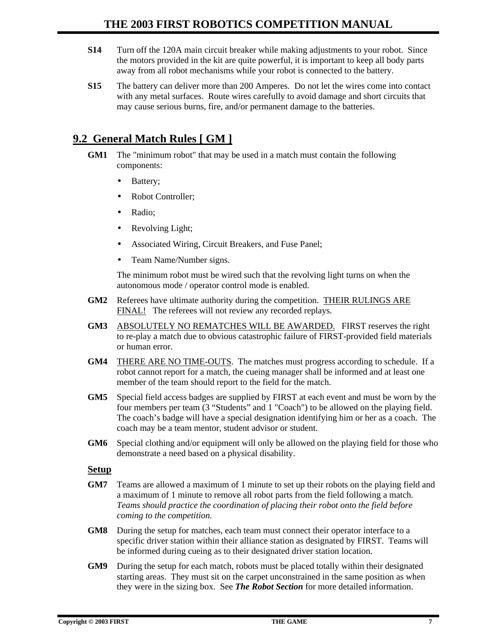- **S14** Turn off the 120A main circuit breaker while making adjustments to your robot. Since the motors provided in the kit are quite powerful, it is important to keep all body parts away from all robot mechanisms while your robot is connected to the battery.
- **S15** The battery can deliver more than 200 Amperes. Do not let the wires come into contact with any metal surfaces. Route wires carefully to avoid damage and short circuits that may cause serious burns, fire, and/or permanent damage to the batteries.

### **9.2 General Match Rules [ GM ]**

- **GM1** The "minimum robot" that may be used in a match must contain the following components:
	- Battery;
	- Robot Controller;
	- Radio;
	- Revolving Light;
	- Associated Wiring, Circuit Breakers, and Fuse Panel;
	- Team Name/Number signs.

The minimum robot must be wired such that the revolving light turns on when the autonomous mode / operator control mode is enabled.

- **GM2** Referees have ultimate authority during the competition. THEIR RULINGS ARE FINAL! The referees will not review any recorded replays*.*
- **GM3** ABSOLUTELY NO REMATCHES WILL BE AWARDED.FIRST reserves the right to re-play a match due to obvious catastrophic failure of FIRST-provided field materials or human error.
- **GM4** THERE ARE NO TIME-OUTS. The matches must progress according to schedule. If a robot cannot report for a match, the cueing manager shall be informed and at least one member of the team should report to the field for the match.
- **GM5** Special field access badges are supplied by FIRST at each event and must be worn by the four members per team (3 "Students" and 1 "Coach") to be allowed on the playing field. The coach's badge will have a special designation identifying him or her as a coach. The coach may be a team mentor, student advisor or student.
- **GM6** Special clothing and/or equipment will only be allowed on the playing field for those who demonstrate a need based on a physical disability.

#### **Setup**

- **GM7** Teams are allowed a maximum of 1 minute to set up their robots on the playing field and a maximum of 1 minute to remove all robot parts from the field following a match. *Teams should practice the coordination of placing their robot onto the field before coming to the competition.*
- **GM8** During the setup for matches, each team must connect their operator interface to a specific driver station within their alliance station as designated by FIRST. Teams will be informed during cueing as to their designated driver station location.
- **GM9** During the setup for each match, robots must be placed totally within their designated starting areas. They must sit on the carpet unconstrained in the same position as when they were in the sizing box. See *The Robot Section* for more detailed information.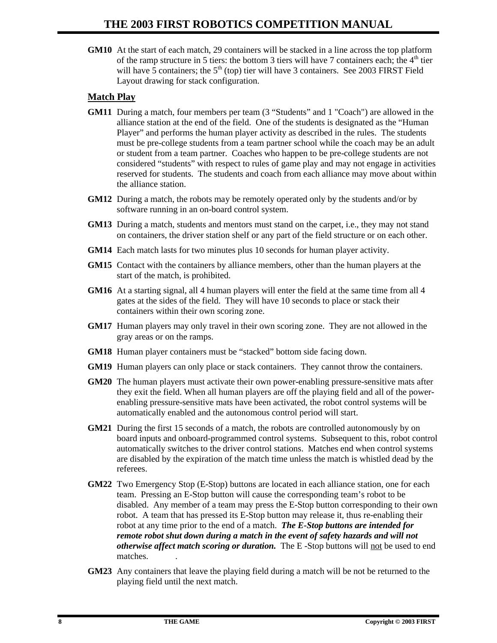**GM10** At the start of each match, 29 containers will be stacked in a line across the top platform of the ramp structure in 5 tiers: the bottom 3 tiers will have 7 containers each; the  $4<sup>th</sup>$  tier will have  $\overline{5}$  containers; the  $5<sup>th</sup>$  (top) tier will have 3 containers. See 2003 FIRST Field Layout drawing for stack configuration.

#### **Match Play**

- **GM11** During a match, four members per team (3 "Students" and 1 "Coach") are allowed in the alliance station at the end of the field. One of the students is designated as the "Human Player" and performs the human player activity as described in the rules. The students must be pre-college students from a team partner school while the coach may be an adult or student from a team partner. Coaches who happen to be pre-college students are not considered "students" with respect to rules of game play and may not engage in activities reserved for students. The students and coach from each alliance may move about within the alliance station.
- **GM12** During a match, the robots may be remotely operated only by the students and/or by software running in an on-board control system.
- **GM13** During a match, students and mentors must stand on the carpet, i.e., they may not stand on containers, the driver station shelf or any part of the field structure or on each other.
- **GM14** Each match lasts for two minutes plus 10 seconds for human player activity.
- **GM15** Contact with the containers by alliance members, other than the human players at the start of the match, is prohibited.
- **GM16** At a starting signal, all 4 human players will enter the field at the same time from all 4 gates at the sides of the field. They will have 10 seconds to place or stack their containers within their own scoring zone.
- **GM17** Human players may only travel in their own scoring zone. They are not allowed in the gray areas or on the ramps.
- **GM18** Human player containers must be "stacked" bottom side facing down.
- **GM19** Human players can only place or stack containers. They cannot throw the containers.
- **GM20** The human players must activate their own power-enabling pressure-sensitive mats after they exit the field. When all human players are off the playing field and all of the powerenabling pressure-sensitive mats have been activated, the robot control systems will be automatically enabled and the autonomous control period will start.
- **GM21** During the first 15 seconds of a match, the robots are controlled autonomously by on board inputs and onboard-programmed control systems. Subsequent to this, robot control automatically switches to the driver control stations. Matches end when control systems are disabled by the expiration of the match time unless the match is whistled dead by the referees.
- **GM22** Two Emergency Stop (E-Stop) buttons are located in each alliance station, one for each team. Pressing an E-Stop button will cause the corresponding team's robot to be disabled. Any member of a team may press the E-Stop button corresponding to their own robot. A team that has pressed its E-Stop button may release it, thus re-enabling their robot at any time prior to the end of a match. *The E-Stop buttons are intended for remote robot shut down during a match in the event of safety hazards and will not otherwise affect match scoring or duration.* The E -Stop buttons will not be used to end matches. .
- **GM23** Any containers that leave the playing field during a match will be not be returned to the playing field until the next match.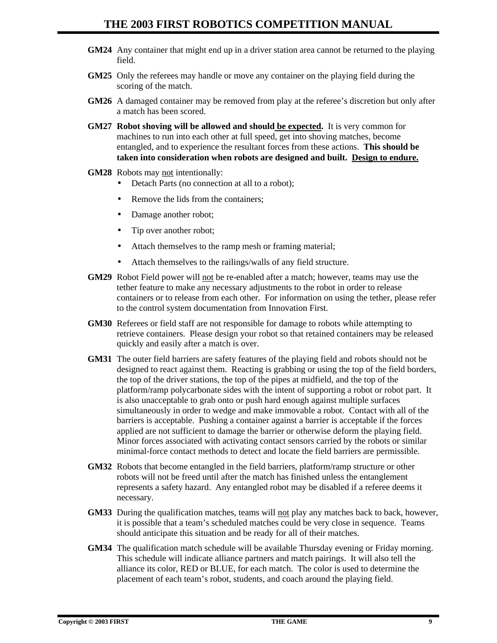- **GM24** Any container that might end up in a driver station area cannot be returned to the playing field.
- **GM25** Only the referees may handle or move any container on the playing field during the scoring of the match.
- **GM26** A damaged container may be removed from play at the referee's discretion but only after a match has been scored.
- **GM27 Robot shoving will be allowed and should be expected.** It is very common for machines to run into each other at full speed, get into shoving matches, become entangled, and to experience the resultant forces from these actions. **This should be taken into consideration when robots are designed and built. Design to endure.**
- **GM28** Robots may not intentionally:
	- Detach Parts (no connection at all to a robot);
	- Remove the lids from the containers;
	- Damage another robot;
	- Tip over another robot;
	- Attach themselves to the ramp mesh or framing material;
	- Attach themselves to the railings/walls of any field structure.
- **GM29** Robot Field power will not be re-enabled after a match; however, teams may use the tether feature to make any necessary adjustments to the robot in order to release containers or to release from each other. For information on using the tether, please refer to the control system documentation from Innovation First.
- **GM30** Referees or field staff are not responsible for damage to robots while attempting to retrieve containers. Please design your robot so that retained containers may be released quickly and easily after a match is over.
- **GM31** The outer field barriers are safety features of the playing field and robots should not be designed to react against them. Reacting is grabbing or using the top of the field borders, the top of the driver stations, the top of the pipes at midfield, and the top of the platform/ramp polycarbonate sides with the intent of supporting a robot or robot part. It is also unacceptable to grab onto or push hard enough against multiple surfaces simultaneously in order to wedge and make immovable a robot. Contact with all of the barriers is acceptable. Pushing a container against a barrier is acceptable if the forces applied are not sufficient to damage the barrier or otherwise deform the playing field. Minor forces associated with activating contact sensors carried by the robots or similar minimal-force contact methods to detect and locate the field barriers are permissible.
- **GM32** Robots that become entangled in the field barriers, platform/ramp structure or other robots will not be freed until after the match has finished unless the entanglement represents a safety hazard. Any entangled robot may be disabled if a referee deems it necessary.
- **GM33** During the qualification matches, teams will not play any matches back to back, however, it is possible that a team's scheduled matches could be very close in sequence. Teams should anticipate this situation and be ready for all of their matches.
- **GM34** The qualification match schedule will be available Thursday evening or Friday morning. This schedule will indicate alliance partners and match pairings. It will also tell the alliance its color, RED or BLUE, for each match. The color is used to determine the placement of each team's robot, students, and coach around the playing field.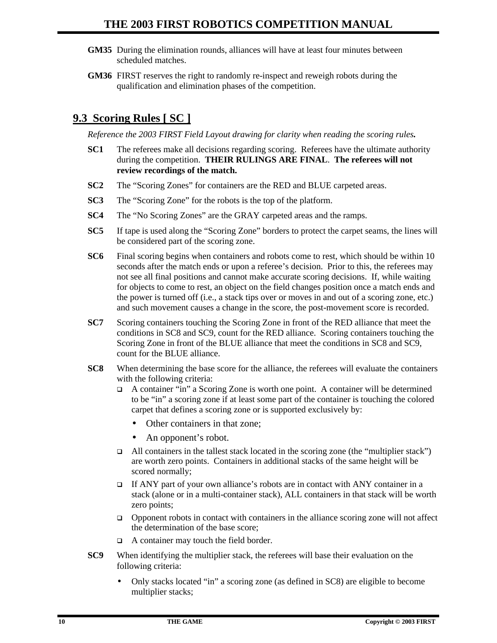- **GM35** During the elimination rounds, alliances will have at least four minutes between scheduled matches.
- **GM36** FIRST reserves the right to randomly re-inspect and reweigh robots during the qualification and elimination phases of the competition.

### **9.3 Scoring Rules [ SC ]**

*Reference the 2003 FIRST Field Layout drawing for clarity when reading the scoring rules.*

- **SC1** The referees make all decisions regarding scoring. Referees have the ultimate authority during the competition. **THEIR RULINGS ARE FINAL**. **The referees will not review recordings of the match.**
- **SC2** The "Scoring Zones" for containers are the RED and BLUE carpeted areas.
- **SC3** The "Scoring Zone" for the robots is the top of the platform.
- **SC4** The "No Scoring Zones" are the GRAY carpeted areas and the ramps.
- **SC5** If tape is used along the "Scoring Zone" borders to protect the carpet seams, the lines will be considered part of the scoring zone.
- **SC6** Final scoring begins when containers and robots come to rest, which should be within 10 seconds after the match ends or upon a referee's decision. Prior to this, the referees may not see all final positions and cannot make accurate scoring decisions. If, while waiting for objects to come to rest, an object on the field changes position once a match ends and the power is turned off (i.e., a stack tips over or moves in and out of a scoring zone, etc.) and such movement causes a change in the score, the post-movement score is recorded.
- **SC7** Scoring containers touching the Scoring Zone in front of the RED alliance that meet the conditions in SC8 and SC9, count for the RED alliance. Scoring containers touching the Scoring Zone in front of the BLUE alliance that meet the conditions in SC8 and SC9, count for the BLUE alliance.
- **SC8** When determining the base score for the alliance, the referees will evaluate the containers with the following criteria:
	- q A container "in" a Scoring Zone is worth one point. A container will be determined to be "in" a scoring zone if at least some part of the container is touching the colored carpet that defines a scoring zone or is supported exclusively by:
		- Other containers in that zone;
		- An opponent's robot.
	- q All containers in the tallest stack located in the scoring zone (the "multiplier stack") are worth zero points. Containers in additional stacks of the same height will be scored normally;
	- If ANY part of your own alliance's robots are in contact with ANY container in a stack (alone or in a multi-container stack), ALL containers in that stack will be worth zero points;
	- $\Box$  Opponent robots in contact with containers in the alliance scoring zone will not affect the determination of the base score;
	- $\Box$  A container may touch the field border.
- **SC9** When identifying the multiplier stack, the referees will base their evaluation on the following criteria:
	- Only stacks located "in" a scoring zone (as defined in SC8) are eligible to become multiplier stacks;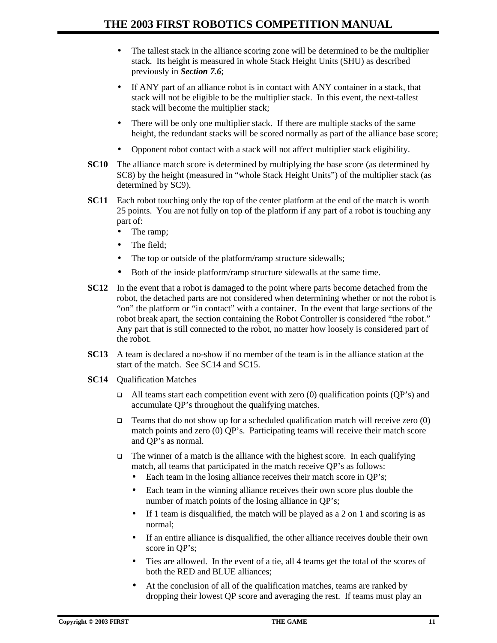- The tallest stack in the alliance scoring zone will be determined to be the multiplier stack. Its height is measured in whole Stack Height Units (SHU) as described previously in *Section 7.6*;
- If ANY part of an alliance robot is in contact with ANY container in a stack, that stack will not be eligible to be the multiplier stack. In this event, the next-tallest stack will become the multiplier stack;
- There will be only one multiplier stack. If there are multiple stacks of the same height, the redundant stacks will be scored normally as part of the alliance base score;
- Opponent robot contact with a stack will not affect multiplier stack eligibility.
- **SC10** The alliance match score is determined by multiplying the base score (as determined by SC8) by the height (measured in "whole Stack Height Units") of the multiplier stack (as determined by SC9).
- **SC11** Each robot touching only the top of the center platform at the end of the match is worth 25 points. You are not fully on top of the platform if any part of a robot is touching any part of:
	- The ramp;
	- The field:
	- The top or outside of the platform/ramp structure sidewalls;
	- Both of the inside platform/ramp structure sidewalls at the same time.
- **SC12** In the event that a robot is damaged to the point where parts become detached from the robot, the detached parts are not considered when determining whether or not the robot is "on" the platform or "in contact" with a container. In the event that large sections of the robot break apart, the section containing the Robot Controller is considered "the robot." Any part that is still connected to the robot, no matter how loosely is considered part of the robot.
- **SC13** A team is declared a no-show if no member of the team is in the alliance station at the start of the match. See SC14 and SC15.
- **SC14** Qualification Matches
	- all teams start each competition event with zero (0) qualification points (OP's) and accumulate QP's throughout the qualifying matches.
	- **Teams that do not show up for a scheduled qualification match will receive zero (0)** match points and zero (0) QP's. Participating teams will receive their match score and QP's as normal.
	- $\Box$  The winner of a match is the alliance with the highest score. In each qualifying match, all teams that participated in the match receive QP's as follows:
		- Each team in the losing alliance receives their match score in OP's;
		- Each team in the winning alliance receives their own score plus double the number of match points of the losing alliance in QP's;
		- If 1 team is disqualified, the match will be played as a 2 on 1 and scoring is as normal;
		- If an entire alliance is disqualified, the other alliance receives double their own score in QP's;
		- Ties are allowed.In the event of a tie, all 4 teams get the total of the scores of both the RED and BLUE alliances;
		- At the conclusion of all of the qualification matches, teams are ranked by dropping their lowest QP score and averaging the rest. If teams must play an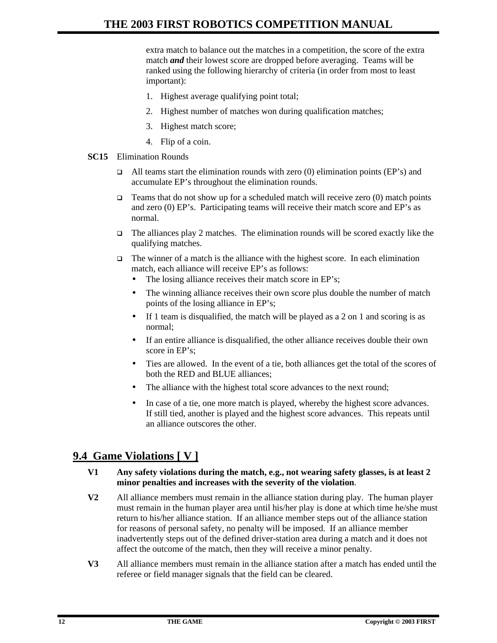extra match to balance out the matches in a competition, the score of the extra match *and* their lowest score are dropped before averaging. Teams will be ranked using the following hierarchy of criteria (in order from most to least important):

- 1. Highest average qualifying point total;
- 2. Highest number of matches won during qualification matches;
- 3. Highest match score;
- 4. Flip of a coin.
- **SC15** Elimination Rounds
	- $\Box$  All teams start the elimination rounds with zero (0) elimination points (EP's) and accumulate EP's throughout the elimination rounds.
	- **Teams that do not show up for a scheduled match will receive zero (0) match points** and zero (0) EP's. Participating teams will receive their match score and EP's as normal.
	- $\Box$  The alliances play 2 matches. The elimination rounds will be scored exactly like the qualifying matches.
	- $\Box$  The winner of a match is the alliance with the highest score. In each elimination match, each alliance will receive EP's as follows:
		- The losing alliance receives their match score in EP's;
		- The winning alliance receives their own score plus double the number of match points of the losing alliance in EP's;
		- If 1 team is disqualified, the match will be played as a  $2$  on 1 and scoring is as normal;
		- If an entire alliance is disqualified, the other alliance receives double their own score in EP's;
		- Ties are allowed.In the event of a tie, both alliances get the total of the scores of both the RED and BLUE alliances;
		- The alliance with the highest total score advances to the next round;
		- In case of a tie, one more match is played, whereby the highest score advances. If still tied, another is played and the highest score advances. This repeats until an alliance outscores the other.

### **9.4 Game Violations [ V ]**

#### **V1 Any safety violations during the match, e.g., not wearing safety glasses, is at least 2 minor penalties and increases with the severity of the violation**.

- **V2** All alliance members must remain in the alliance station during play. The human player must remain in the human player area until his/her play is done at which time he/she must return to his/her alliance station. If an alliance member steps out of the alliance station for reasons of personal safety, no penalty will be imposed. If an alliance member inadvertently steps out of the defined driver-station area during a match and it does not affect the outcome of the match, then they will receive a minor penalty.
- **V3** All alliance members must remain in the alliance station after a match has ended until the referee or field manager signals that the field can be cleared.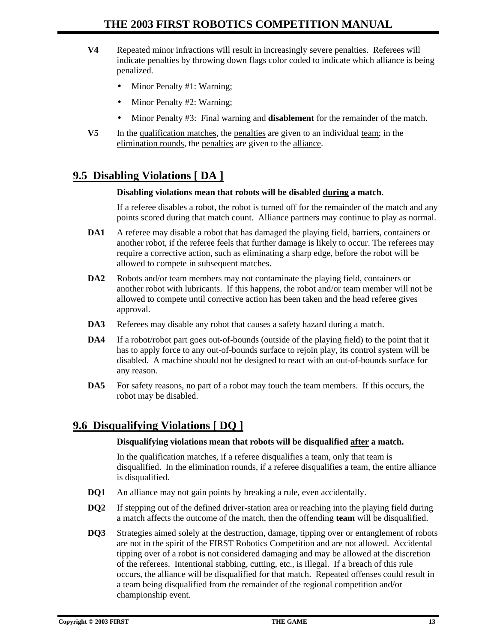- **V4** Repeated minor infractions will result in increasingly severe penalties. Referees will indicate penalties by throwing down flags color coded to indicate which alliance is being penalized.
	- Minor Penalty #1: Warning;
	- Minor Penalty #2: Warning;
	- Minor Penalty #3: Final warning and **disablement** for the remainder of the match.
- **V5** In the qualification matches, the penalties are given to an individual team; in the elimination rounds, the penalties are given to the alliance.

### **9.5 Disabling Violations [ DA ]**

#### **Disabling violations mean that robots will be disabled during a match.**

If a referee disables a robot, the robot is turned off for the remainder of the match and any points scored during that match count. Alliance partners may continue to play as normal.

- **DA1** A referee may disable a robot that has damaged the playing field, barriers, containers or another robot, if the referee feels that further damage is likely to occur. The referees may require a corrective action, such as eliminating a sharp edge, before the robot will be allowed to compete in subsequent matches.
- **DA2** Robots and/or team members may not contaminate the playing field, containers or another robot with lubricants. If this happens, the robot and/or team member will not be allowed to compete until corrective action has been taken and the head referee gives approval.
- **DA3** Referees may disable any robot that causes a safety hazard during a match.
- **DA4** If a robot/robot part goes out-of-bounds (outside of the playing field) to the point that it has to apply force to any out-of-bounds surface to rejoin play, its control system will be disabled. A machine should not be designed to react with an out-of-bounds surface for any reason.
- **DA5** For safety reasons, no part of a robot may touch the team members. If this occurs, the robot may be disabled.

### **9.6 Disqualifying Violations [ DQ ]**

#### **Disqualifying violations mean that robots will be disqualified after a match.**

In the qualification matches, if a referee disqualifies a team, only that team is disqualified. In the elimination rounds, if a referee disqualifies a team, the entire alliance is disqualified.

- **DQ1** An alliance may not gain points by breaking a rule, even accidentally.
- **DQ2** If stepping out of the defined driver-station area or reaching into the playing field during a match affects the outcome of the match, then the offending **team** will be disqualified.
- **DQ3** Strategies aimed solely at the destruction, damage, tipping over or entanglement of robots are not in the spirit of the FIRST Robotics Competition and are not allowed. Accidental tipping over of a robot is not considered damaging and may be allowed at the discretion of the referees. Intentional stabbing, cutting, etc., is illegal. If a breach of this rule occurs, the alliance will be disqualified for that match. Repeated offenses could result in a team being disqualified from the remainder of the regional competition and/or championship event.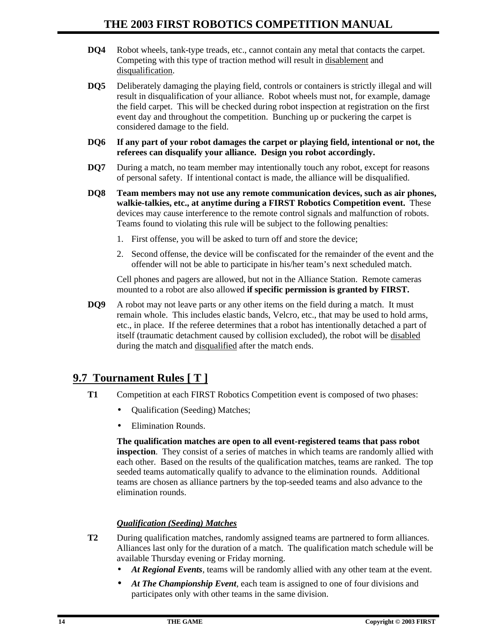- **DQ4** Robot wheels, tank-type treads, etc., cannot contain any metal that contacts the carpet. Competing with this type of traction method will result in disablement and disqualification.
- **DQ5** Deliberately damaging the playing field, controls or containers is strictly illegal and will result in disqualification of your alliance. Robot wheels must not, for example, damage the field carpet. This will be checked during robot inspection at registration on the first event day and throughout the competition. Bunching up or puckering the carpet is considered damage to the field.
- **DQ6 If any part of your robot damages the carpet or playing field, intentional or not, the referees can disqualify your alliance. Design you robot accordingly.**
- **DQ7** During a match, no team member may intentionally touch any robot, except for reasons of personal safety. If intentional contact is made, the alliance will be disqualified.
- **DQ8 Team members may not use any remote communication devices, such as air phones, walkie-talkies, etc., at anytime during a FIRST Robotics Competition event.** These devices may cause interference to the remote control signals and malfunction of robots. Teams found to violating this rule will be subject to the following penalties:
	- 1. First offense, you will be asked to turn off and store the device;
	- 2. Second offense, the device will be confiscated for the remainder of the event and the offender will not be able to participate in his/her team's next scheduled match.

Cell phones and pagers are allowed, but not in the Alliance Station. Remote cameras mounted to a robot are also allowed **if specific permission is granted by FIRST.**

**DQ9** A robot may not leave parts or any other items on the field during a match. It must remain whole. This includes elastic bands, Velcro, etc., that may be used to hold arms, etc., in place. If the referee determines that a robot has intentionally detached a part of itself (traumatic detachment caused by collision excluded), the robot will be disabled during the match and disqualified after the match ends.

### **9.7 Tournament Rules [ T ]**

- **T1** Competition at each FIRST Robotics Competition event is composed of two phases:
	- Qualification (Seeding) Matches;
	- Elimination Rounds.

**The qualification matches are open to all event-registered teams that pass robot inspection**. They consist of a series of matches in which teams are randomly allied with each other. Based on the results of the qualification matches, teams are ranked. The top seeded teams automatically qualify to advance to the elimination rounds. Additional teams are chosen as alliance partners by the top-seeded teams and also advance to the elimination rounds.

#### *Qualification (Seeding) Matches*

- **T2** During qualification matches, randomly assigned teams are partnered to form alliances. Alliances last only for the duration of a match. The qualification match schedule will be available Thursday evening or Friday morning.
	- *At Regional Events*, teams will be randomly allied with any other team at the event.
	- *At The Championship Event*, each team is assigned to one of four divisions and participates only with other teams in the same division.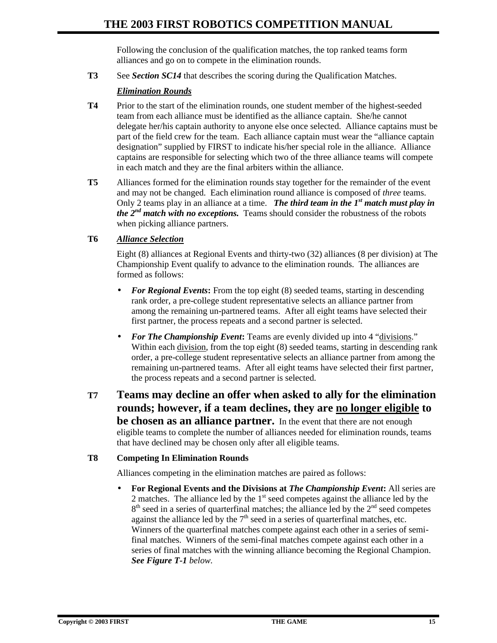Following the conclusion of the qualification matches, the top ranked teams form alliances and go on to compete in the elimination rounds.

**T3** See *Section SC14* that describes the scoring during the Qualification Matches.

#### *Elimination Rounds*

- **T4** Prior to the start of the elimination rounds, one student member of the highest-seeded team from each alliance must be identified as the alliance captain. She/he cannot delegate her/his captain authority to anyone else once selected. Alliance captains must be part of the field crew for the team. Each alliance captain must wear the "alliance captain designation" supplied by FIRST to indicate his/her special role in the alliance. Alliance captains are responsible for selecting which two of the three alliance teams will compete in each match and they are the final arbiters within the alliance.
- **T5** Alliances formed for the elimination rounds stay together for the remainder of the event and may not be changed. Each elimination round alliance is composed of *three* teams. Only 2 teams play in an alliance at a time. **The third team in the**  $I^{st}$  **match must play in** *the*  $2^{nd}$  *match with no exceptions.* Teams should consider the robustness of the robots when picking alliance partners.

#### **T6** *Alliance Selection*

Eight (8) alliances at Regional Events and thirty-two (32) alliances (8 per division) at The Championship Event qualify to advance to the elimination rounds. The alliances are formed as follows:

- **For Regional Events:** From the top eight (8) seeded teams, starting in descending rank order, a pre-college student representative selects an alliance partner from among the remaining un-partnered teams. After all eight teams have selected their first partner, the process repeats and a second partner is selected.
- *For The Championship Event***:** Teams are evenly divided up into 4 "divisions." Within each division, from the top eight  $(8)$  seeded teams, starting in descending rank order, a pre-college student representative selects an alliance partner from among the remaining un-partnered teams. After all eight teams have selected their first partner, the process repeats and a second partner is selected.
- **T7 Teams may decline an offer when asked to ally for the elimination rounds; however, if a team declines, they are no longer eligible to be chosen as an alliance partner.** In the event that there are not enough eligible teams to complete the number of alliances needed for elimination rounds, teams that have declined may be chosen only after all eligible teams.

#### **T8 Competing In Elimination Rounds**

Alliances competing in the elimination matches are paired as follows:

• **For Regional Events and the Divisions at** *The Championship Event***:** All series are 2 matches. The alliance led by the  $1<sup>st</sup>$  seed competes against the alliance led by the 8<sup>th</sup> seed in a series of quarterfinal matches; the alliance led by the 2<sup>nd</sup> seed competes against the alliance led by the  $7<sup>th</sup>$  seed in a series of quarterfinal matches, etc. Winners of the quarterfinal matches compete against each other in a series of semifinal matches. Winners of the semi-final matches compete against each other in a series of final matches with the winning alliance becoming the Regional Champion. *See Figure T-1 below.*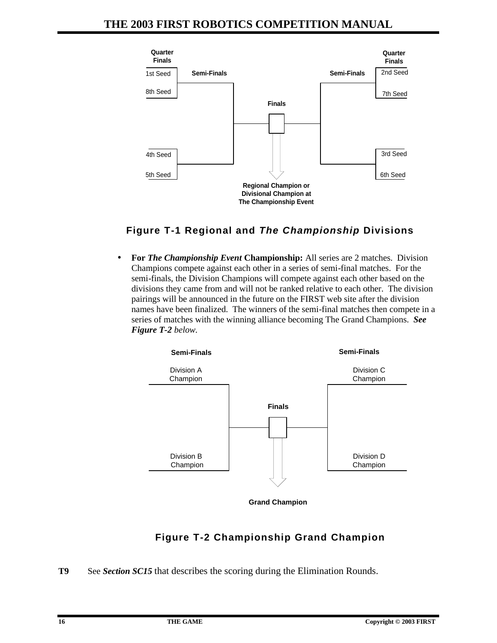

### **Figure T-1 Regional and** *The Championship* **Divisions**

• **For** *The Championship Event* **Championship:** All series are 2 matches. Division Champions compete against each other in a series of semi-final matches. For the semi-finals, the Division Champions will compete against each other based on the divisions they came from and will not be ranked relative to each other. The division pairings will be announced in the future on the FIRST web site after the division names have been finalized. The winners of the semi-final matches then compete in a series of matches with the winning alliance becoming The Grand Champions. *See Figure T-2 below.*



# **Figure T-2 Championship Grand Champion**

**T9** See *Section SC15* that describes the scoring during the Elimination Rounds.